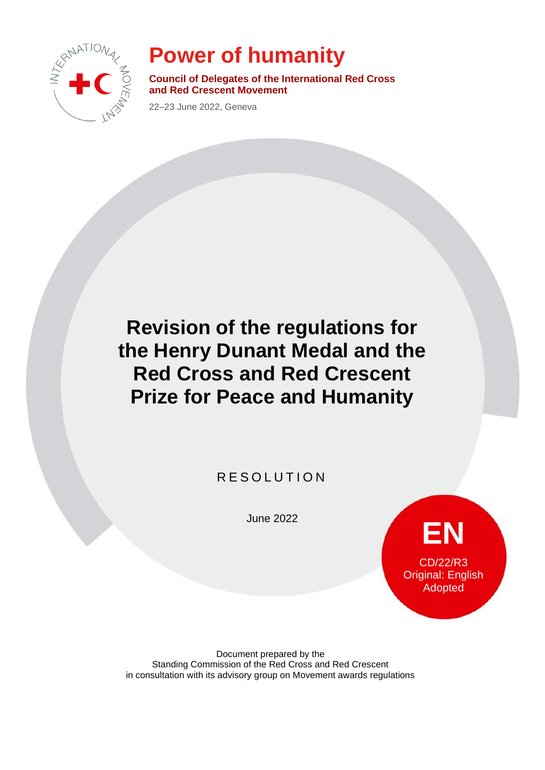

# **Power of humanity**

**Council of Delegates of the International Red Cross and Red Crescent Movement**

22–23 June 2022, Geneva

## **Revision of the regulations for the Henry Dunant Medal and the Red Cross and Red Crescent Prize for Peace and Humanity**

**RESOLUTION** 

June 2022

**EN** CD/22/R3 Original: English Adopted

Document prepared by the Standing Commission of the Red Cross and Red Crescent in consultation with its advisory group on Movement awards regulations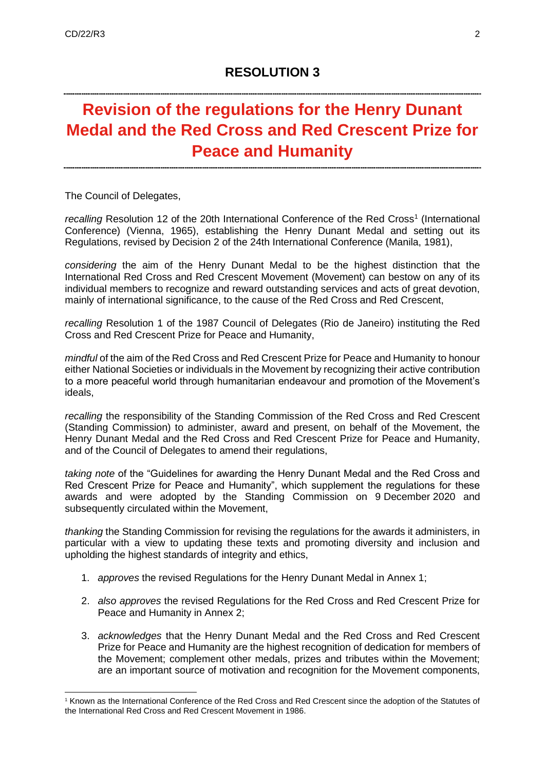## **Revision of the regulations for the Henry Dunant Medal and the Red Cross and Red Crescent Prize for Peace and Humanity**

The Council of Delegates,

recalling Resolution 12 of the 20th International Conference of the Red Cross<sup>1</sup> (International Conference) (Vienna, 1965), establishing the Henry Dunant Medal and setting out its Regulations, revised by Decision 2 of the 24th International Conference (Manila, 1981),

*considering* the aim of the Henry Dunant Medal to be the highest distinction that the International Red Cross and Red Crescent Movement (Movement) can bestow on any of its individual members to recognize and reward outstanding services and acts of great devotion, mainly of international significance, to the cause of the Red Cross and Red Crescent,

*recalling* Resolution 1 of the 1987 Council of Delegates (Rio de Janeiro) instituting the Red Cross and Red Crescent Prize for Peace and Humanity,

*mindful* of the aim of the Red Cross and Red Crescent Prize for Peace and Humanity to honour either National Societies or individuals in the Movement by recognizing their active contribution to a more peaceful world through humanitarian endeavour and promotion of the Movement's ideals,

*recalling* the responsibility of the Standing Commission of the Red Cross and Red Crescent (Standing Commission) to administer, award and present, on behalf of the Movement, the Henry Dunant Medal and the Red Cross and Red Crescent Prize for Peace and Humanity, and of the Council of Delegates to amend their regulations,

*taking note* of the "Guidelines for awarding the Henry Dunant Medal and the Red Cross and Red Crescent Prize for Peace and Humanity", which supplement the regulations for these awards and were adopted by the Standing Commission on 9 December 2020 and subsequently circulated within the Movement,

*thanking* the Standing Commission for revising the regulations for the awards it administers, in particular with a view to updating these texts and promoting diversity and inclusion and upholding the highest standards of integrity and ethics,

- 1. *approves* the revised Regulations for the Henry Dunant Medal in Annex 1;
- 2. *also approves* the revised Regulations for the Red Cross and Red Crescent Prize for Peace and Humanity in Annex 2;
- 3. *acknowledges* that the Henry Dunant Medal and the Red Cross and Red Crescent Prize for Peace and Humanity are the highest recognition of dedication for members of the Movement; complement other medals, prizes and tributes within the Movement; are an important source of motivation and recognition for the Movement components,

<sup>1</sup> Known as the International Conference of the Red Cross and Red Crescent since the adoption of the Statutes of the International Red Cross and Red Crescent Movement in 1986.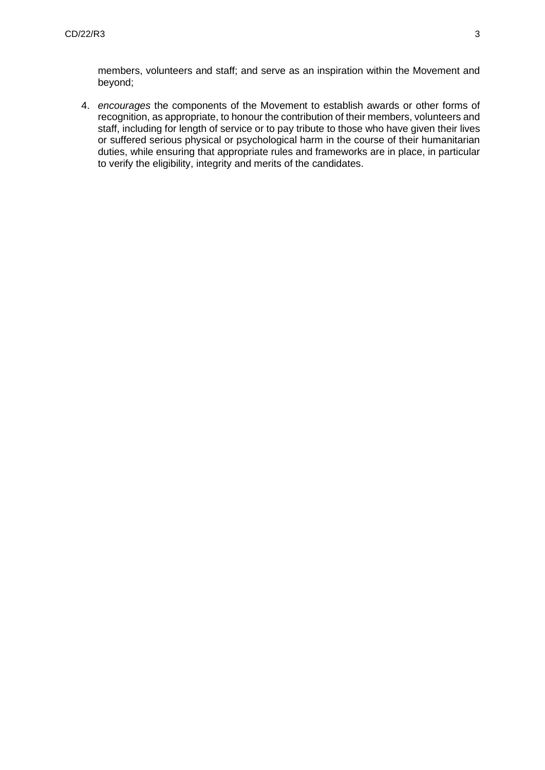members, volunteers and staff; and serve as an inspiration within the Movement and beyond;

4. *encourages* the components of the Movement to establish awards or other forms of recognition, as appropriate, to honour the contribution of their members, volunteers and staff, including for length of service or to pay tribute to those who have given their lives or suffered serious physical or psychological harm in the course of their humanitarian duties, while ensuring that appropriate rules and frameworks are in place, in particular to verify the eligibility, integrity and merits of the candidates.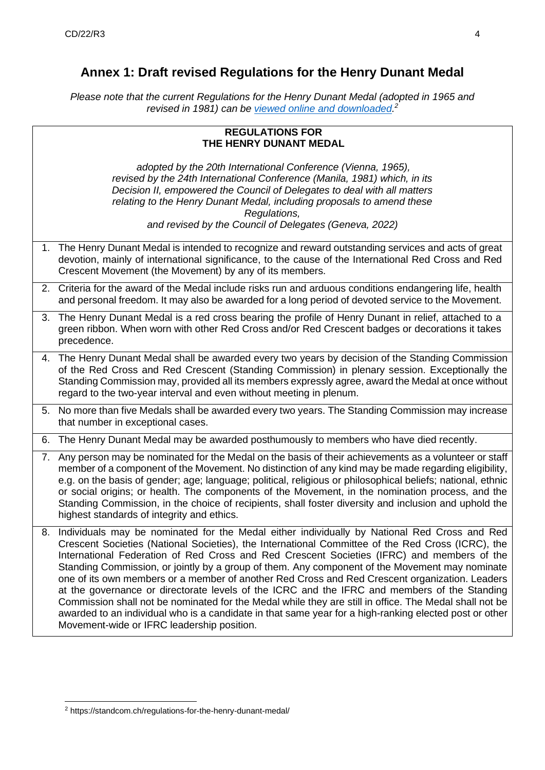### **Annex 1: Draft revised Regulations for the Henry Dunant Medal**

*Please note that the current Regulations for the Henry Dunant Medal (adopted in 1965 and revised in 1981) can be [viewed online and downloaded.](https://standcom.ch/regulations-for-the-henry-dunant-medal/) 2*

|    | <b>REGULATIONS FOR</b><br>THE HENRY DUNANT MEDAL                                                                                                                                                                                                                                                                                                                                                                                                                                                                                                                                                                                                                                                                                                                                                                                                                      |
|----|-----------------------------------------------------------------------------------------------------------------------------------------------------------------------------------------------------------------------------------------------------------------------------------------------------------------------------------------------------------------------------------------------------------------------------------------------------------------------------------------------------------------------------------------------------------------------------------------------------------------------------------------------------------------------------------------------------------------------------------------------------------------------------------------------------------------------------------------------------------------------|
|    | adopted by the 20th International Conference (Vienna, 1965),<br>revised by the 24th International Conference (Manila, 1981) which, in its<br>Decision II, empowered the Council of Delegates to deal with all matters<br>relating to the Henry Dunant Medal, including proposals to amend these<br>Regulations,<br>and revised by the Council of Delegates (Geneva, 2022)                                                                                                                                                                                                                                                                                                                                                                                                                                                                                             |
|    | 1. The Henry Dunant Medal is intended to recognize and reward outstanding services and acts of great<br>devotion, mainly of international significance, to the cause of the International Red Cross and Red<br>Crescent Movement (the Movement) by any of its members.                                                                                                                                                                                                                                                                                                                                                                                                                                                                                                                                                                                                |
|    | 2. Criteria for the award of the Medal include risks run and arduous conditions endangering life, health<br>and personal freedom. It may also be awarded for a long period of devoted service to the Movement.                                                                                                                                                                                                                                                                                                                                                                                                                                                                                                                                                                                                                                                        |
|    | 3. The Henry Dunant Medal is a red cross bearing the profile of Henry Dunant in relief, attached to a<br>green ribbon. When worn with other Red Cross and/or Red Crescent badges or decorations it takes<br>precedence.                                                                                                                                                                                                                                                                                                                                                                                                                                                                                                                                                                                                                                               |
|    | 4. The Henry Dunant Medal shall be awarded every two years by decision of the Standing Commission<br>of the Red Cross and Red Crescent (Standing Commission) in plenary session. Exceptionally the<br>Standing Commission may, provided all its members expressly agree, award the Medal at once without<br>regard to the two-year interval and even without meeting in plenum.                                                                                                                                                                                                                                                                                                                                                                                                                                                                                       |
|    | 5. No more than five Medals shall be awarded every two years. The Standing Commission may increase<br>that number in exceptional cases.                                                                                                                                                                                                                                                                                                                                                                                                                                                                                                                                                                                                                                                                                                                               |
| 6. | The Henry Dunant Medal may be awarded posthumously to members who have died recently.                                                                                                                                                                                                                                                                                                                                                                                                                                                                                                                                                                                                                                                                                                                                                                                 |
|    | 7. Any person may be nominated for the Medal on the basis of their achievements as a volunteer or staff<br>member of a component of the Movement. No distinction of any kind may be made regarding eligibility,<br>e.g. on the basis of gender; age; language; political, religious or philosophical beliefs; national, ethnic<br>or social origins; or health. The components of the Movement, in the nomination process, and the<br>Standing Commission, in the choice of recipients, shall foster diversity and inclusion and uphold the<br>highest standards of integrity and ethics.                                                                                                                                                                                                                                                                             |
| 8. | Individuals may be nominated for the Medal either individually by National Red Cross and Red<br>Crescent Societies (National Societies), the International Committee of the Red Cross (ICRC), the<br>International Federation of Red Cross and Red Crescent Societies (IFRC) and members of the<br>Standing Commission, or jointly by a group of them. Any component of the Movement may nominate<br>one of its own members or a member of another Red Cross and Red Crescent organization. Leaders<br>at the governance or directorate levels of the ICRC and the IFRC and members of the Standing<br>Commission shall not be nominated for the Medal while they are still in office. The Medal shall not be<br>awarded to an individual who is a candidate in that same year for a high-ranking elected post or other<br>Movement-wide or IFRC leadership position. |

<sup>2</sup> https://standcom.ch/regulations-for-the-henry-dunant-medal/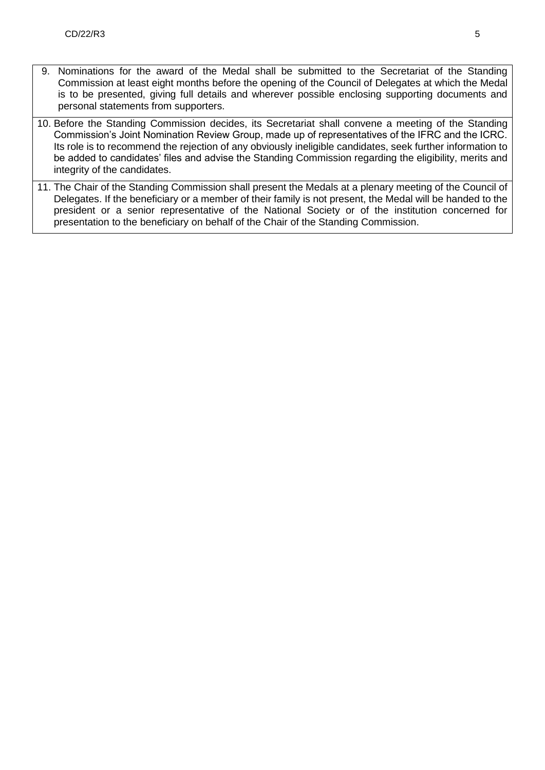- 9. Nominations for the award of the Medal shall be submitted to the Secretariat of the Standing Commission at least eight months before the opening of the Council of Delegates at which the Medal is to be presented, giving full details and wherever possible enclosing supporting documents and personal statements from supporters.
- 10. Before the Standing Commission decides, its Secretariat shall convene a meeting of the Standing Commission's Joint Nomination Review Group, made up of representatives of the IFRC and the ICRC. Its role is to recommend the rejection of any obviously ineligible candidates, seek further information to be added to candidates' files and advise the Standing Commission regarding the eligibility, merits and integrity of the candidates.
- 11. The Chair of the Standing Commission shall present the Medals at a plenary meeting of the Council of Delegates. If the beneficiary or a member of their family is not present, the Medal will be handed to the president or a senior representative of the National Society or of the institution concerned for presentation to the beneficiary on behalf of the Chair of the Standing Commission.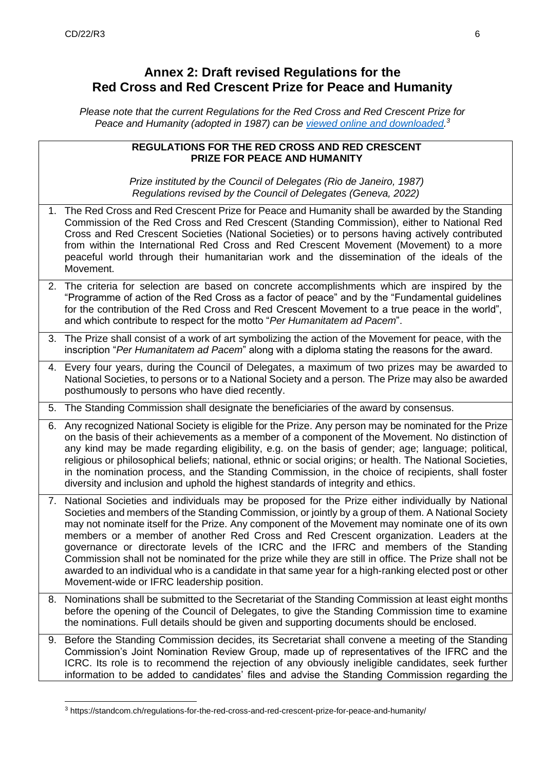#### **Annex 2: Draft revised Regulations for the Red Cross and Red Crescent Prize for Peace and Humanity**

*Please note that the current Regulations for the Red Cross and Red Crescent Prize for Peace and Humanity (adopted in 1987) can be [viewed online and downloaded.](https://standcom.ch/regulations-for-the-red-cross-and-red-crescent-prize-for-peace-and-humanity/) 3*

|    | REGULATIONS FOR THE RED CROSS AND RED CRESCENT<br><b>PRIZE FOR PEACE AND HUMANITY</b>                                                                                                                                                                                                                                                                                                                                                                                                                                                                                                                                                                                                                                                                               |
|----|---------------------------------------------------------------------------------------------------------------------------------------------------------------------------------------------------------------------------------------------------------------------------------------------------------------------------------------------------------------------------------------------------------------------------------------------------------------------------------------------------------------------------------------------------------------------------------------------------------------------------------------------------------------------------------------------------------------------------------------------------------------------|
|    | Prize instituted by the Council of Delegates (Rio de Janeiro, 1987)<br>Regulations revised by the Council of Delegates (Geneva, 2022)                                                                                                                                                                                                                                                                                                                                                                                                                                                                                                                                                                                                                               |
| 1. | The Red Cross and Red Crescent Prize for Peace and Humanity shall be awarded by the Standing<br>Commission of the Red Cross and Red Crescent (Standing Commission), either to National Red<br>Cross and Red Crescent Societies (National Societies) or to persons having actively contributed<br>from within the International Red Cross and Red Crescent Movement (Movement) to a more<br>peaceful world through their humanitarian work and the dissemination of the ideals of the<br>Movement.                                                                                                                                                                                                                                                                   |
|    | 2. The criteria for selection are based on concrete accomplishments which are inspired by the<br>"Programme of action of the Red Cross as a factor of peace" and by the "Fundamental guidelines<br>for the contribution of the Red Cross and Red Crescent Movement to a true peace in the world",<br>and which contribute to respect for the motto "Per Humanitatem ad Pacem".                                                                                                                                                                                                                                                                                                                                                                                      |
|    | 3. The Prize shall consist of a work of art symbolizing the action of the Movement for peace, with the<br>inscription "Per Humanitatem ad Pacem" along with a diploma stating the reasons for the award.                                                                                                                                                                                                                                                                                                                                                                                                                                                                                                                                                            |
|    | 4. Every four years, during the Council of Delegates, a maximum of two prizes may be awarded to<br>National Societies, to persons or to a National Society and a person. The Prize may also be awarded<br>posthumously to persons who have died recently.                                                                                                                                                                                                                                                                                                                                                                                                                                                                                                           |
|    | 5. The Standing Commission shall designate the beneficiaries of the award by consensus.                                                                                                                                                                                                                                                                                                                                                                                                                                                                                                                                                                                                                                                                             |
|    | 6. Any recognized National Society is eligible for the Prize. Any person may be nominated for the Prize<br>on the basis of their achievements as a member of a component of the Movement. No distinction of<br>any kind may be made regarding eligibility, e.g. on the basis of gender; age; language; political,<br>religious or philosophical beliefs; national, ethnic or social origins; or health. The National Societies,<br>in the nomination process, and the Standing Commission, in the choice of recipients, shall foster<br>diversity and inclusion and uphold the highest standards of integrity and ethics.                                                                                                                                           |
|    | 7. National Societies and individuals may be proposed for the Prize either individually by National<br>Societies and members of the Standing Commission, or jointly by a group of them. A National Society<br>may not nominate itself for the Prize. Any component of the Movement may nominate one of its own<br>members or a member of another Red Cross and Red Crescent organization. Leaders at the<br>governance or directorate levels of the ICRC and the IFRC and members of the Standing<br>Commission shall not be nominated for the prize while they are still in office. The Prize shall not be<br>awarded to an individual who is a candidate in that same year for a high-ranking elected post or other<br>Movement-wide or IFRC leadership position. |
|    | 8. Nominations shall be submitted to the Secretariat of the Standing Commission at least eight months<br>before the opening of the Council of Delegates, to give the Standing Commission time to examine<br>the nominations. Full details should be given and supporting documents should be enclosed.                                                                                                                                                                                                                                                                                                                                                                                                                                                              |
|    | 9. Before the Standing Commission decides, its Secretariat shall convene a meeting of the Standing<br>Commission's Joint Nomination Review Group, made up of representatives of the IFRC and the<br>ICRC. Its role is to recommend the rejection of any obviously ineligible candidates, seek further<br>information to be added to candidates' files and advise the Standing Commission regarding the                                                                                                                                                                                                                                                                                                                                                              |

<sup>3</sup> https://standcom.ch/regulations-for-the-red-cross-and-red-crescent-prize-for-peace-and-humanity/